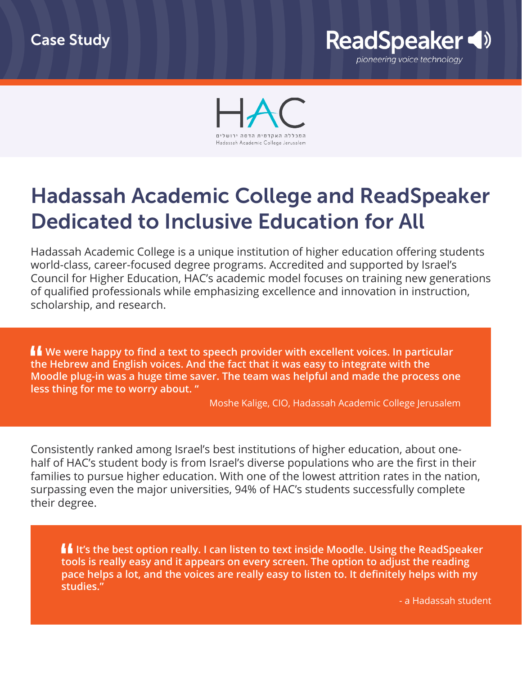



## Hadassah Academic College and ReadSpeaker Dedicated to Inclusive Education for All

Hadassah Academic College is a unique institution of higher education offering students world-class, career-focused degree programs. Accredited and supported by Israel's Council for Higher Education, HAC's academic model focuses on training new generations of qualified professionals while emphasizing excellence and innovation in instruction, scholarship, and research.

**We were happy to find a text to speech provider with excellent voices. In particular the Hebrew and English voices. And the fact that it was easy to integrate with the Moodle plug-in was a huge time saver. The team was helpful and made the process one less thing for me to worry about. "**

Moshe Kalige, CIO, Hadassah Academic College Jerusalem

Consistently ranked among Israel's best institutions of higher education, about onehalf of HAC's student body is from Israel's diverse populations who are the first in their families to pursue higher education. With one of the lowest attrition rates in the nation, surpassing even the major universities, 94% of HAC's students successfully complete their degree.

**If** It's the best option really. I can listen to text inside Moodle. Using the ReadSpeaker **tools is really easy and it appears on every screen. The option to adjust the reading pace helps a lot, and the voices are really easy to listen to. It definitely helps with my studies."**

- a Hadassah student